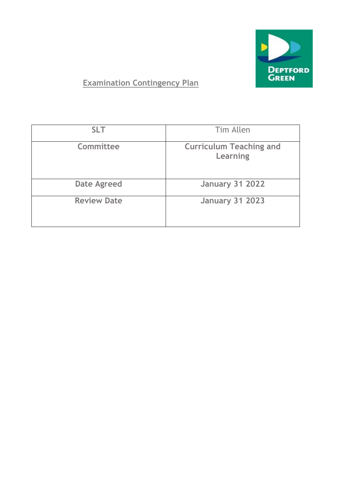

# **Examination Contingency Plan**

| <b>SLT</b>         | Tim Allen                                  |
|--------------------|--------------------------------------------|
| <b>Committee</b>   | <b>Curriculum Teaching and</b><br>Learning |
| <b>Date Agreed</b> | <b>January 31 2022</b>                     |
| <b>Review Date</b> | <b>January 31 2023</b>                     |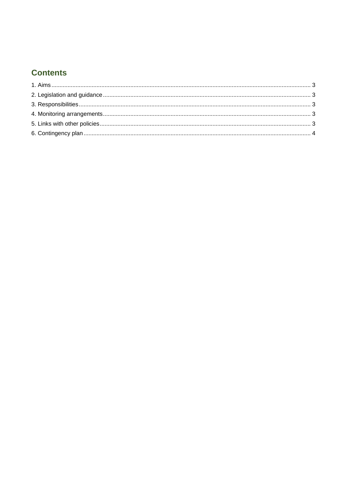## **Contents**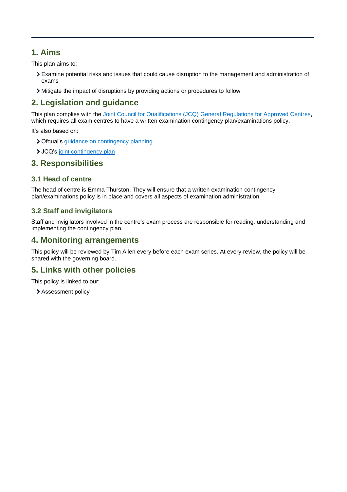### <span id="page-2-0"></span>**1. Aims**

This plan aims to:

- Examine potential risks and issues that could cause disruption to the management and administration of exams
- Mitigate the impact of disruptions by providing actions or procedures to follow

### <span id="page-2-1"></span>**2. Legislation and guidance**

This plan complies with the [Joint Council for Qualifications \(JCQ\) General Regulations for Approved Centres,](https://www.jcq.org.uk/exams-office/general-regulations) which requires all exam centres to have a written examination contingency plan/examinations policy.

It's also based on:

- > Ofqual's quidance on contingency planning
- > JCQ's [joint contingency plan](https://www.jcq.org.uk/exams-office/general-regulations/notice-to-centres--exam-contingency-plan)

#### <span id="page-2-2"></span>**3. Responsibilities**

#### **3.1 Head of centre**

The head of centre is Emma Thurston. They will ensure that a written examination contingency plan/examinations policy is in place and covers all aspects of examination administration.

#### **3.2 Staff and invigilators**

Staff and invigilators involved in the centre's exam process are responsible for reading, understanding and implementing the contingency plan.

### <span id="page-2-3"></span>**4. Monitoring arrangements**

This policy will be reviewed by Tim Allen every before each exam series. At every review, the policy will be shared with the governing board.

### <span id="page-2-4"></span>**5. Links with other policies**

This policy is linked to our:

> Assessment policy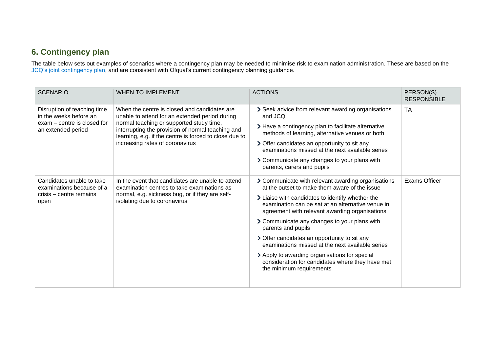# **6. Contingency plan**

The table below sets out examples of scenarios where a contingency plan may be needed to minimise risk to examination administration. These are based on the [JCQ's joint contingency plan,](https://www.jcq.org.uk/exams-office/other-documents/jcq-joint-contingency-plan/) and are consistent with [Ofqual's current contingency planning guidance.](https://www.gov.uk/government/publications/exam-system-contingency-plan-england-wales-and-northern-ireland/what-schools-and-colleges-should-do-if-exams-or-other-assessments-are-seriously-disrupted)

<span id="page-3-0"></span>

| <b>SCENARIO</b>                                                                                            | <b>WHEN TO IMPLEMENT</b>                                                                                                                                                                                                                                                                     | <b>ACTIONS</b>                                                                                                                                          | PERSON(S)<br><b>RESPONSIBLE</b> |
|------------------------------------------------------------------------------------------------------------|----------------------------------------------------------------------------------------------------------------------------------------------------------------------------------------------------------------------------------------------------------------------------------------------|---------------------------------------------------------------------------------------------------------------------------------------------------------|---------------------------------|
| Disruption of teaching time<br>in the weeks before an<br>exam – centre is closed for<br>an extended period | When the centre is closed and candidates are<br>unable to attend for an extended period during<br>normal teaching or supported study time,<br>interrupting the provision of normal teaching and<br>learning, e.g. if the centre is forced to close due to<br>increasing rates of coronavirus | > Seek advice from relevant awarding organisations<br>and JCQ                                                                                           | <b>TA</b>                       |
|                                                                                                            |                                                                                                                                                                                                                                                                                              | > Have a contingency plan to facilitate alternative<br>methods of learning, alternative venues or both                                                  |                                 |
|                                                                                                            |                                                                                                                                                                                                                                                                                              | > Offer candidates an opportunity to sit any<br>examinations missed at the next available series                                                        |                                 |
|                                                                                                            |                                                                                                                                                                                                                                                                                              | > Communicate any changes to your plans with<br>parents, carers and pupils                                                                              |                                 |
| Candidates unable to take<br>examinations because of a                                                     | In the event that candidates are unable to attend<br>examination centres to take examinations as<br>normal, e.g. sickness bug, or if they are self-<br>isolating due to coronavirus                                                                                                          | > Communicate with relevant awarding organisations<br>at the outset to make them aware of the issue                                                     | <b>Exams Officer</b>            |
| crisis – centre remains<br>open                                                                            |                                                                                                                                                                                                                                                                                              | > Liaise with candidates to identify whether the<br>examination can be sat at an alternative venue in<br>agreement with relevant awarding organisations |                                 |
|                                                                                                            |                                                                                                                                                                                                                                                                                              | > Communicate any changes to your plans with<br>parents and pupils                                                                                      |                                 |
|                                                                                                            |                                                                                                                                                                                                                                                                                              | > Offer candidates an opportunity to sit any<br>examinations missed at the next available series                                                        |                                 |
|                                                                                                            |                                                                                                                                                                                                                                                                                              | > Apply to awarding organisations for special<br>consideration for candidates where they have met<br>the minimum requirements                           |                                 |
|                                                                                                            |                                                                                                                                                                                                                                                                                              |                                                                                                                                                         |                                 |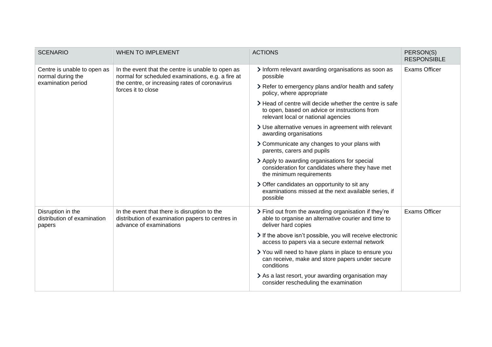| <b>SCENARIO</b>                                                        | <b>WHEN TO IMPLEMENT</b>                                                                                                                                                       | <b>ACTIONS</b>                                                                                                                                  | PERSON(S)<br><b>RESPONSIBLE</b> |
|------------------------------------------------------------------------|--------------------------------------------------------------------------------------------------------------------------------------------------------------------------------|-------------------------------------------------------------------------------------------------------------------------------------------------|---------------------------------|
| Centre is unable to open as<br>normal during the<br>examination period | In the event that the centre is unable to open as<br>normal for scheduled examinations, e.g. a fire at<br>the centre, or increasing rates of coronavirus<br>forces it to close | > Inform relevant awarding organisations as soon as<br>possible                                                                                 | <b>Exams Officer</b>            |
|                                                                        |                                                                                                                                                                                | > Refer to emergency plans and/or health and safety<br>policy, where appropriate                                                                |                                 |
|                                                                        |                                                                                                                                                                                | > Head of centre will decide whether the centre is safe<br>to open, based on advice or instructions from<br>relevant local or national agencies |                                 |
|                                                                        |                                                                                                                                                                                | > Use alternative venues in agreement with relevant<br>awarding organisations                                                                   |                                 |
|                                                                        |                                                                                                                                                                                | > Communicate any changes to your plans with<br>parents, carers and pupils                                                                      |                                 |
|                                                                        |                                                                                                                                                                                | > Apply to awarding organisations for special<br>consideration for candidates where they have met<br>the minimum requirements                   |                                 |
|                                                                        |                                                                                                                                                                                | > Offer candidates an opportunity to sit any<br>examinations missed at the next available series, if<br>possible                                |                                 |
| Disruption in the<br>distribution of examination<br>papers             | In the event that there is disruption to the<br>distribution of examination papers to centres in<br>advance of examinations                                                    | > Find out from the awarding organisation if they're<br>able to organise an alternative courier and time to<br>deliver hard copies              | <b>Exams Officer</b>            |
|                                                                        |                                                                                                                                                                                | > If the above isn't possible, you will receive electronic<br>access to papers via a secure external network                                    |                                 |
|                                                                        |                                                                                                                                                                                | > You will need to have plans in place to ensure you<br>can receive, make and store papers under secure<br>conditions                           |                                 |
|                                                                        |                                                                                                                                                                                | > As a last resort, your awarding organisation may<br>consider rescheduling the examination                                                     |                                 |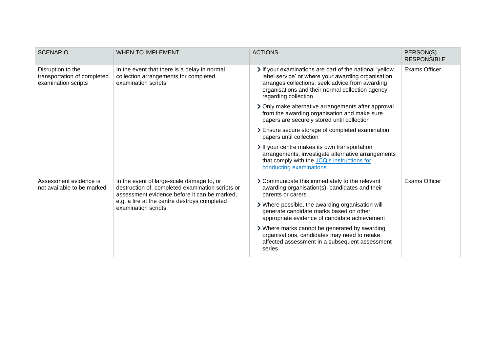| <b>SCENARIO</b>                                                         | <b>WHEN TO IMPLEMENT</b>                                                                                                                                                                                             | <b>ACTIONS</b>                                                                                                                                                                                                                               | PERSON(S)<br><b>RESPONSIBLE</b> |
|-------------------------------------------------------------------------|----------------------------------------------------------------------------------------------------------------------------------------------------------------------------------------------------------------------|----------------------------------------------------------------------------------------------------------------------------------------------------------------------------------------------------------------------------------------------|---------------------------------|
| Disruption to the<br>transportation of completed<br>examination scripts | In the event that there is a delay in normal<br>collection arrangements for completed<br>examination scripts                                                                                                         | > If your examinations are part of the national 'yellow<br>label service' or where your awarding organisation<br>arranges collections, seek advice from awarding<br>organisations and their normal collection agency<br>regarding collection | <b>Exams Officer</b>            |
|                                                                         |                                                                                                                                                                                                                      | > Only make alternative arrangements after approval<br>from the awarding organisation and make sure<br>papers are securely stored until collection                                                                                           |                                 |
|                                                                         |                                                                                                                                                                                                                      | > Ensure secure storage of completed examination<br>papers until collection                                                                                                                                                                  |                                 |
|                                                                         |                                                                                                                                                                                                                      | If your centre makes its own transportation<br>arrangements, investigate alternative arrangements<br>that comply with the JCQ's instructions for<br>conducting examinations                                                                  |                                 |
| Assessment evidence is<br>not available to be marked                    | In the event of large-scale damage to, or<br>destruction of, completed examination scripts or<br>assessment evidence before it can be marked,<br>e.g. a fire at the centre destroys completed<br>examination scripts | > Communicate this immediately to the relevant<br>awarding organisation(s), candidates and their<br>parents or carers                                                                                                                        | <b>Exams Officer</b>            |
|                                                                         |                                                                                                                                                                                                                      | > Where possible, the awarding organisation will<br>generate candidate marks based on other<br>appropriate evidence of candidate achievement                                                                                                 |                                 |
|                                                                         |                                                                                                                                                                                                                      | > Where marks cannot be generated by awarding<br>organisations, candidates may need to retake<br>affected assessment in a subsequent assessment<br>series                                                                                    |                                 |